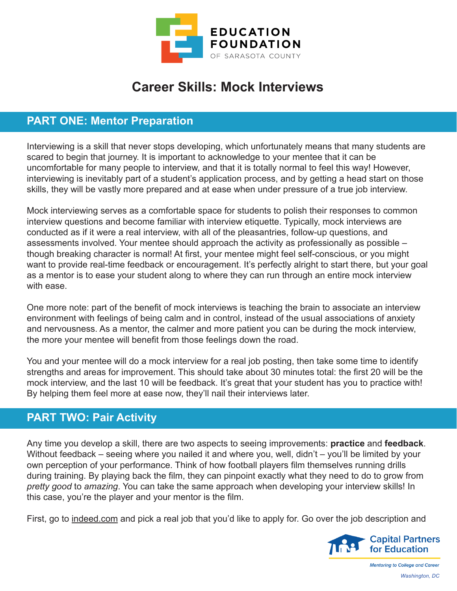

## **Career Skills: Mock Interviews**

## **PART ONE: Mentor Preparation**

Interviewing is a skill that never stops developing, which unfortunately means that many students are scared to begin that journey. It is important to acknowledge to your mentee that it can be uncomfortable for many people to interview, and that it is totally normal to feel this way! However, interviewing is inevitably part of a student's application process, and by getting a head start on those skills, they will be vastly more prepared and at ease when under pressure of a true job interview.

Mock interviewing serves as a comfortable space for students to polish their responses to common interview questions and become familiar with interview etiquette. Typically, mock interviews are conducted as if it were a real interview, with all of the pleasantries, follow-up questions, and assessments involved. Your mentee should approach the activity as professionally as possible – though breaking character is normal! At first, your mentee might feel self-conscious, or you might want to provide real-time feedback or encouragement. It's perfectly alright to start there, but your goal as a mentor is to ease your student along to where they can run through an entire mock interview with ease.

One more note: part of the benefit of mock interviews is teaching the brain to associate an interview environment with feelings of being calm and in control, instead of the usual associations of anxiety and nervousness. As a mentor, the calmer and more patient you can be during the mock interview, the more your mentee will benefit from those feelings down the road.

You and your mentee will do a mock interview for a real job posting, then take some time to identify strengths and areas for improvement. This should take about 30 minutes total: the first 20 will be the mock interview, and the last 10 will be feedback. It's great that your student has you to practice with! By helping them feel more at ease now, they'll nail their interviews later.

## **PART TWO: Pair Activity**

Any time you develop a skill, there are two aspects to seeing improvements: **practice** and **feedback**. Without feedback – seeing where you nailed it and where you, well, didn't – you'll be limited by your own perception of your performance. Think of how football players film themselves running drills during training. By playing back the film, they can pinpoint exactly what they need to do to grow from *pretty good* to *amazing*. You can take the same approach when developing your interview skills! In this case, you're the player and your mentor is the film.

First, go to indeed.com and pick a real job that you'd like to apply for. Go over the job description and



**Mentoring to College and Career** *Washington, DC*